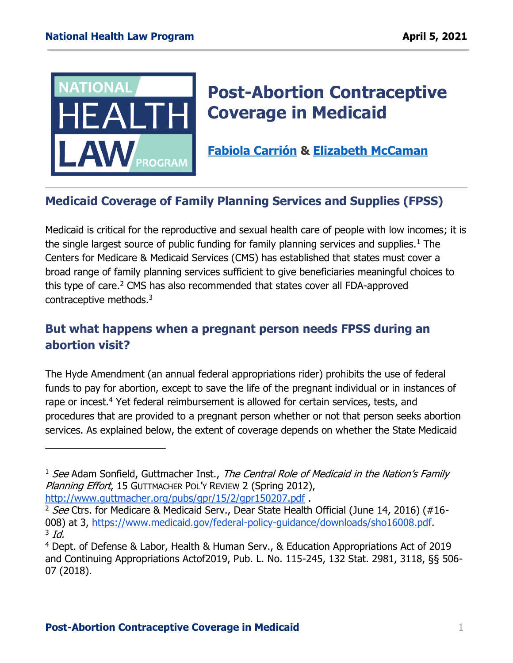

 $\overline{a}$ 

# **Post-Abortion Contraceptive Coverage in Medicaid**

**[Fabiola Carrión](https://healthlaw.org/team/fabiola-carrion/) & [Elizabeth McCaman](https://healthlaw.org/team/elizabeth-mccaman/)**

## **Medicaid Coverage of Family Planning Services and Supplies (FPSS)**

Medicaid is critical for the reproductive and sexual health care of people with low incomes; it is the single largest source of public funding for family planning services and supplies.<sup>1</sup> The Centers for Medicare & Medicaid Services (CMS) has established that states must cover a broad range of family planning services sufficient to give beneficiaries meaningful choices to this type of care. <sup>2</sup> CMS has also recommended that states cover all FDA-approved contraceptive methods.<sup>3</sup>

## **But what happens when a pregnant person needs FPSS during an abortion visit?**

The Hyde Amendment (an annual federal appropriations rider) prohibits the use of federal funds to pay for abortion, except to save the life of the pregnant individual or in instances of rape or incest.<sup>4</sup> Yet federal reimbursement is allowed for certain services, tests, and procedures that are provided to a pregnant person whether or not that person seeks abortion services. As explained below, the extent of coverage depends on whether the State Medicaid

<sup>&</sup>lt;sup>1</sup> See Adam Sonfield, Guttmacher Inst., The Central Role of Medicaid in the Nation's Family Planning Effort, 15 GUTTMACHER POL'Y REVIEW 2 (Spring 2012), <http://www.guttmacher.org/pubs/gpr/15/2/gpr150207.pdf> .

<sup>&</sup>lt;sup>2</sup> See Ctrs. for Medicare & Medicaid Serv., Dear State Health Official (June 14, 2016) (#16-008) at 3, [https://www.medicaid.gov/federal-policy-guidance/downloads/sho16008.pdf.](https://www.medicaid.gov/federal-policy-guidance/downloads/sho16008.pdf)  $3$  Id.

<sup>4</sup> Dept. of Defense & Labor, Health & Human Serv., & Education Appropriations Act of 2019 and Continuing Appropriations Actof2019, Pub. L. No. 115-245, 132 Stat. 2981, 3118, §§ 506- 07 (2018).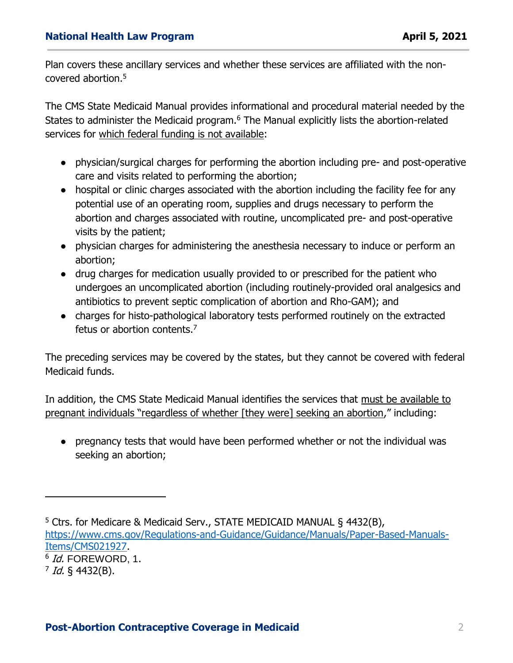Plan covers these ancillary services and whether these services are affiliated with the noncovered abortion.<sup>5</sup>

The CMS State Medicaid Manual provides informational and procedural material needed by the States to administer the Medicaid program.<sup>6</sup> The Manual explicitly lists the abortion-related services for which federal funding is not available:

- physician/surgical charges for performing the abortion including pre- and post-operative care and visits related to performing the abortion;
- hospital or clinic charges associated with the abortion including the facility fee for any potential use of an operating room, supplies and drugs necessary to perform the abortion and charges associated with routine, uncomplicated pre- and post-operative visits by the patient;
- physician charges for administering the anesthesia necessary to induce or perform an abortion;
- drug charges for medication usually provided to or prescribed for the patient who undergoes an uncomplicated abortion (including routinely-provided oral analgesics and antibiotics to prevent septic complication of abortion and Rho-GAM); and
- charges for histo-pathological laboratory tests performed routinely on the extracted fetus or abortion contents.<sup>7</sup>

The preceding services may be covered by the states, but they cannot be covered with federal Medicaid funds.

In addition, the CMS State Medicaid Manual identifies the services that must be available to pregnant individuals "regardless of whether [they were] seeking an abortion," including:

● pregnancy tests that would have been performed whether or not the individual was seeking an abortion;

 $\overline{a}$ 

<sup>&</sup>lt;sup>5</sup> Ctrs. for Medicare & Medicaid Serv., STATE MEDICAID MANUAL § 4432(B), [https://www.cms.gov/Regulations-and-Guidance/Guidance/Manuals/Paper-Based-Manuals-](https://www.cms.gov/Regulations-and-Guidance/Guidance/Manuals/Paper-Based-Manuals-Items/CMS021927)[Items/CMS021927.](https://www.cms.gov/Regulations-and-Guidance/Guidance/Manuals/Paper-Based-Manuals-Items/CMS021927)

 $^6$  *Id.* FOREWORD, 1.

<sup>&</sup>lt;sup>7</sup> Id. § 4432(B).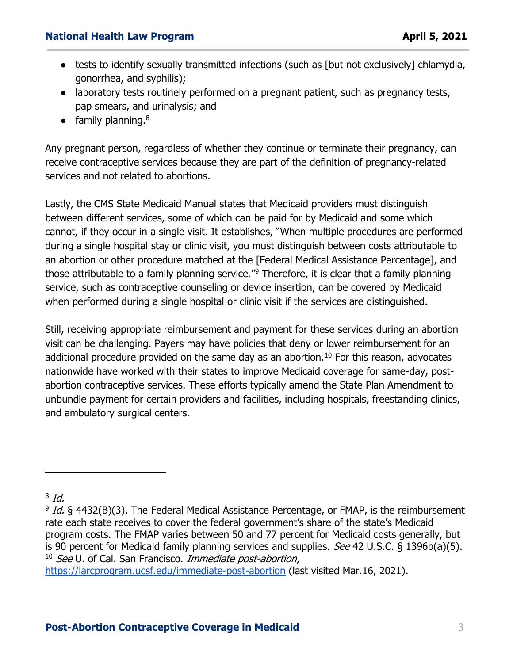#### **National Health Law Program April 5, 2021**

- tests to identify sexually transmitted infections (such as [but not exclusively] chlamydia, gonorrhea, and syphilis);
- laboratory tests routinely performed on a pregnant patient, such as pregnancy tests, pap smears, and urinalysis; and
- family planning.<sup>8</sup>

Any pregnant person, regardless of whether they continue or terminate their pregnancy, can receive contraceptive services because they are part of the definition of pregnancy-related services and not related to abortions.

Lastly, the CMS State Medicaid Manual states that Medicaid providers must distinguish between different services, some of which can be paid for by Medicaid and some which cannot, if they occur in a single visit. It establishes, "When multiple procedures are performed during a single hospital stay or clinic visit, you must distinguish between costs attributable to an abortion or other procedure matched at the [Federal Medical Assistance Percentage], and those attributable to a family planning service."<sup>9</sup> Therefore, it is clear that a family planning service, such as contraceptive counseling or device insertion, can be covered by Medicaid when performed during a single hospital or clinic visit if the services are distinguished.

Still, receiving appropriate reimbursement and payment for these services during an abortion visit can be challenging. Payers may have policies that deny or lower reimbursement for an additional procedure provided on the same day as an abortion.<sup>10</sup> For this reason, advocates nationwide have worked with their states to improve Medicaid coverage for same-day, postabortion contraceptive services. These efforts typically amend the State Plan Amendment to unbundle payment for certain providers and facilities, including hospitals, freestanding clinics, and ambulatory surgical centers.

 $\overline{a}$ 

<https://larcprogram.ucsf.edu/immediate-post-abortion> (last visited Mar.16, 2021).

 $^8$  Id.

<sup>&</sup>lt;sup>9</sup> Id. § 4432(B)(3). The Federal Medical Assistance Percentage, or FMAP, is the reimbursement rate each state receives to cover the federal government's share of the state's Medicaid program costs. The FMAP varies between 50 and 77 percent for Medicaid costs generally, but is 90 percent for Medicaid family planning services and supplies. See 42 U.S.C. § 1396b(a)(5).  $10$  See U, of Cal. San Francisco, *Immediate post-abortion*,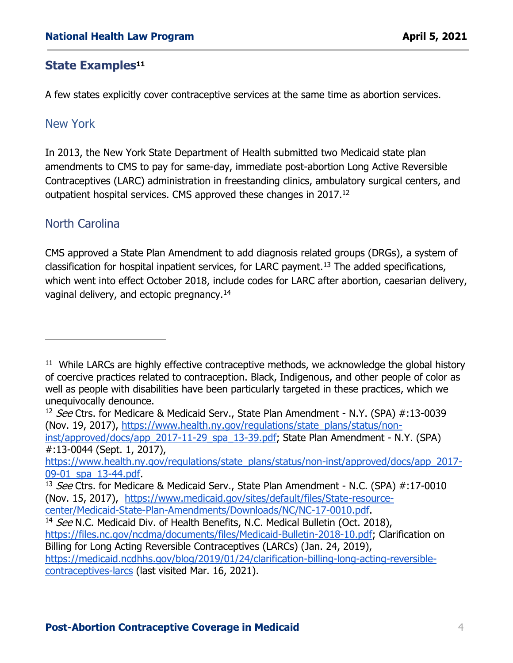#### **State Examples<sup>11</sup>**

A few states explicitly cover contraceptive services at the same time as abortion services.

### New York

In 2013, the New York State Department of Health submitted two Medicaid state plan amendments to CMS to pay for same-day, immediate post-abortion Long Active Reversible Contraceptives (LARC) administration in freestanding clinics, ambulatory surgical centers, and outpatient hospital services. CMS approved these changes in 2017.<sup>12</sup>

#### North Carolina

 $\overline{a}$ 

CMS approved a State Plan Amendment to add diagnosis related groups (DRGs), a system of classification for hospital inpatient services, for LARC payment.<sup>13</sup> The added specifications, which went into effect October 2018, include codes for LARC after abortion, caesarian delivery, vaginal delivery, and ectopic pregnancy.<sup>14</sup>

#:13-0044 (Sept. 1, 2017),

[https://www.health.ny.gov/regulations/state\\_plans/status/non-inst/approved/docs/app\\_2017-](https://www.health.ny.gov/regulations/state_plans/status/non-inst/approved/docs/app_2017-09-01_spa_13-44.pdf) [09-01\\_spa\\_13-44.pdf.](https://www.health.ny.gov/regulations/state_plans/status/non-inst/approved/docs/app_2017-09-01_spa_13-44.pdf)

[center/Medicaid-State-Plan-Amendments/Downloads/NC/NC-17-0010.pdf.](https://www.medicaid.gov/sites/default/files/State-resource-center/Medicaid-State-Plan-Amendments/Downloads/NC/NC-17-0010.pdf)

<sup>&</sup>lt;sup>11</sup> While LARCs are highly effective contraceptive methods, we acknowledge the global history of coercive practices related to contraception. Black, Indigenous, and other people of color as well as people with disabilities have been particularly targeted in these practices, which we unequivocally denounce.

<sup>&</sup>lt;sup>12</sup> See Ctrs. for Medicare & Medicaid Serv., State Plan Amendment - N.Y. (SPA) #:13-0039 (Nov. 19, 2017), [https://www.health.ny.gov/regulations/state\\_plans/status/non](https://www.health.ny.gov/regulations/state_plans/status/non-inst/approved/docs/app_2017-11-29_spa_13-39.pdf)[inst/approved/docs/app\\_2017-11-29\\_spa\\_13-39.pdf;](https://www.health.ny.gov/regulations/state_plans/status/non-inst/approved/docs/app_2017-11-29_spa_13-39.pdf) State Plan Amendment - N.Y. (SPA)

<sup>&</sup>lt;sup>13</sup> See Ctrs. for Medicare & Medicaid Serv., State Plan Amendment - N.C. (SPA)  $\#$ :17-0010 (Nov. 15, 2017), [https://www.medicaid.gov/sites/default/files/State-resource-](https://www.medicaid.gov/sites/default/files/State-resource-center/Medicaid-State-Plan-Amendments/Downloads/NC/NC-17-0010.pdf)

<sup>&</sup>lt;sup>14</sup> See N.C. Medicaid Div. of Health Benefits, N.C. Medical Bulletin (Oct. 2018), [https://files.nc.gov/ncdma/documents/files/Medicaid-Bulletin-2018-10.pdf;](https://files.nc.gov/ncdma/documents/files/Medicaid-Bulletin-2018-10.pdf) Clarification on Billing for Long Acting Reversible Contraceptives (LARCs) (Jan. 24, 2019), [https://medicaid.ncdhhs.gov/blog/2019/01/24/clarification-billing-long-acting-reversible](https://medicaid.ncdhhs.gov/blog/2019/01/24/clarification-billing-long-acting-reversible-contraceptives-larcs)[contraceptives-larcs](https://medicaid.ncdhhs.gov/blog/2019/01/24/clarification-billing-long-acting-reversible-contraceptives-larcs) (last visited Mar. 16, 2021).